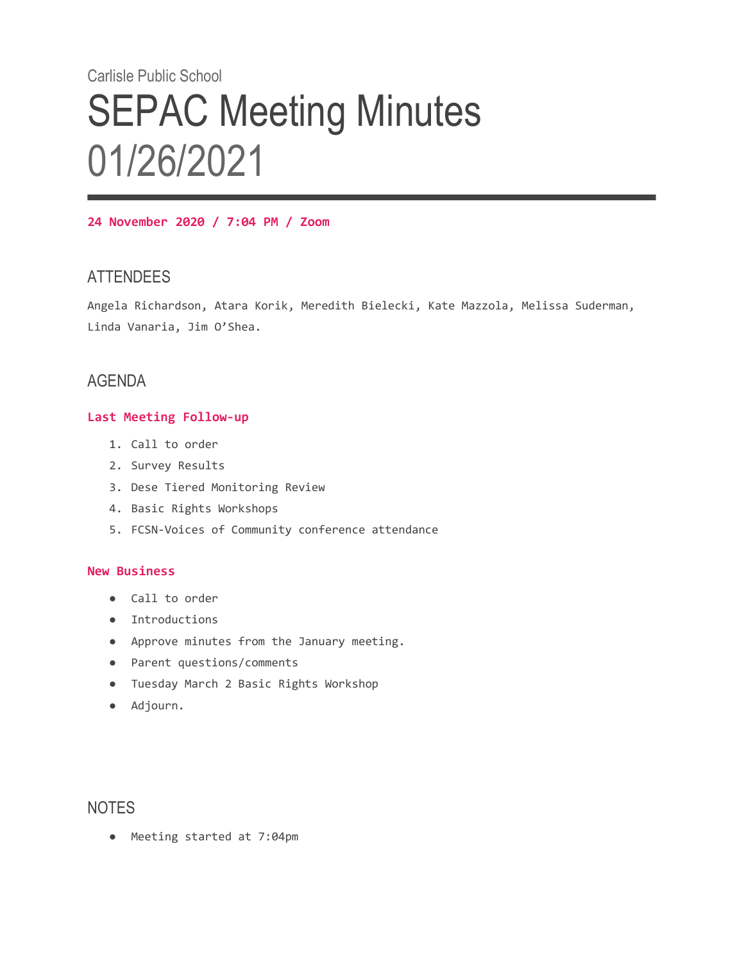# Carlisle Public School **SEPAC Meeting Minutes** 01/26/2021

**24 November 2020 / 7:04 PM / Zoom**

## **ATTENDEES**

Angela Richardson, Atara Korik, Meredith Bielecki, Kate Mazzola, Melissa Suderman, Linda Vanaria, Jim O'Shea.

## AGENDA

#### **Last Meeting Follow-up**

- 1. Call to order
- 2. Survey Results
- 3. Dese Tiered Monitoring Review
- 4. Basic Rights Workshops
- 5. FCSN-Voices of Community conference attendance

### **New Business**

- Call to order
- Introductions
- Approve minutes from the January meeting.
- Parent questions/comments
- Tuesday March 2 Basic Rights Workshop
- Adjourn.

## **NOTES**

● Meeting started at 7:04pm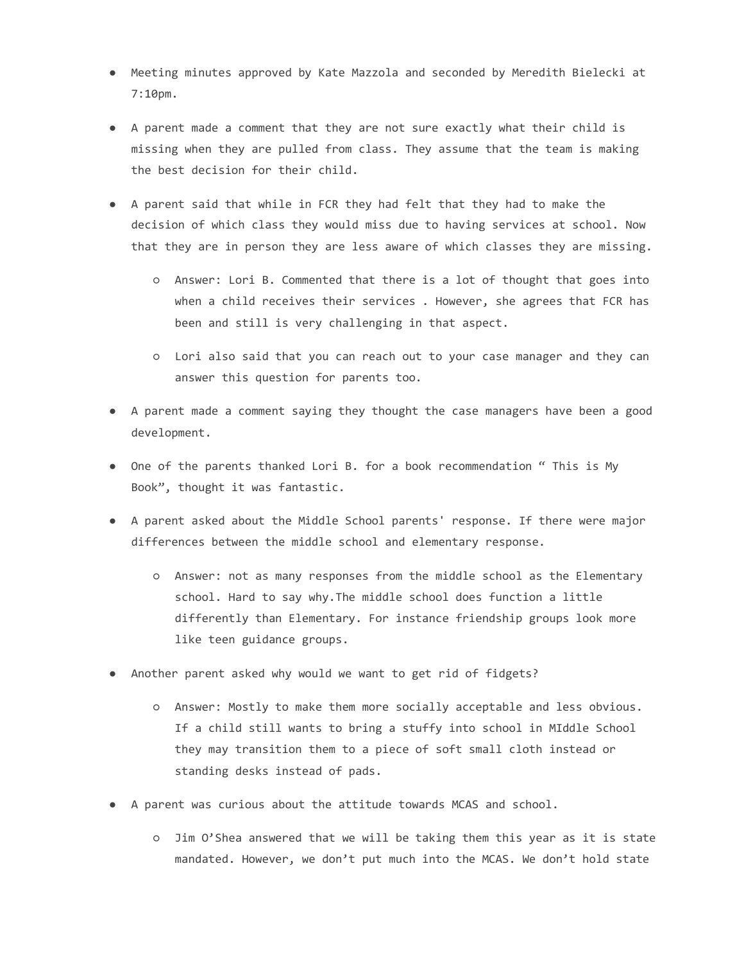- Meeting minutes approved by Kate Mazzola and seconded by Meredith Bielecki at 7:10pm.
- A parent made a comment that they are not sure exactly what their child is missing when they are pulled from class. They assume that the team is making the best decision for their child.
- A parent said that while in FCR they had felt that they had to make the decision of which class they would miss due to having services at school. Now that they are in person they are less aware of which classes they are missing.
	- Answer: Lori B. Commented that there is a lot of thought that goes into when a child receives their services . However, she agrees that FCR has been and still is very challenging in that aspect.
	- Lori also said that you can reach out to your case manager and they can answer this question for parents too.
- A parent made a comment saying they thought the case managers have been a good development.
- One of the parents thanked Lori B. for a book recommendation " This is My Book", thought it was fantastic.
- A parent asked about the Middle School parents' response. If there were major differences between the middle school and elementary response.
	- Answer: not as many responses from the middle school as the Elementary school. Hard to say why.The middle school does function a little differently than Elementary. For instance friendship groups look more like teen guidance groups.
- Another parent asked why would we want to get rid of fidgets?
	- Answer: Mostly to make them more socially acceptable and less obvious. If a child still wants to bring a stuffy into school in MIddle School they may transition them to a piece of soft small cloth instead or standing desks instead of pads.
- A parent was curious about the attitude towards MCAS and school.
	- Jim O'Shea answered that we will be taking them this year as it is state mandated. However, we don't put much into the MCAS. We don't hold state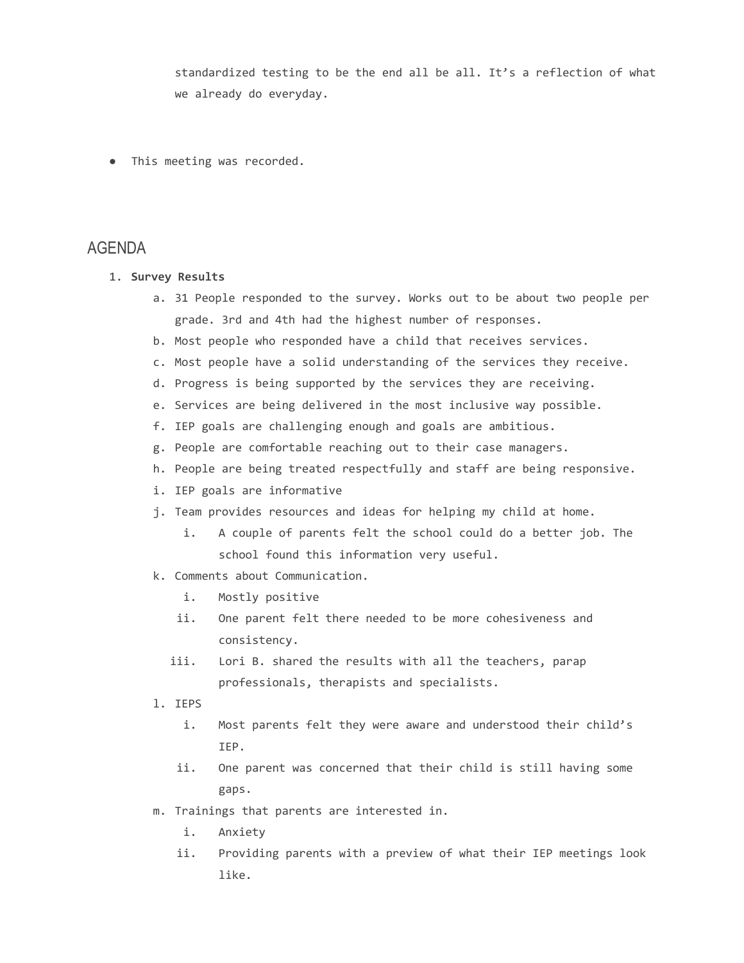standardized testing to be the end all be all. It's a reflection of what we already do everyday.

● This meeting was recorded.

## AGENDA

- 1. **Survey Results**
	- a. 31 People responded to the survey. Works out to be about two people per grade. 3rd and 4th had the highest number of responses.
	- b. Most people who responded have a child that receives services.
	- c. Most people have a solid understanding of the services they receive.
	- d. Progress is being supported by the services they are receiving.
	- e. Services are being delivered in the most inclusive way possible.
	- f. IEP goals are challenging enough and goals are ambitious.
	- g. People are comfortable reaching out to their case managers.
	- h. People are being treated respectfully and staff are being responsive.
	- i. IEP goals are informative
	- j. Team provides resources and ideas for helping my child at home.
		- i. A couple of parents felt the school could do a better job. The school found this information very useful.
	- k. Comments about Communication.
		- i. Mostly positive
		- ii. One parent felt there needed to be more cohesiveness and consistency.
		- iii. Lori B. shared the results with all the teachers, parap professionals, therapists and specialists.
	- l. IEPS
		- i. Most parents felt they were aware and understood their child's IEP.
		- ii. One parent was concerned that their child is still having some gaps.
	- m. Trainings that parents are interested in.
		- i. Anxiety
		- ii. Providing parents with a preview of what their IEP meetings look like.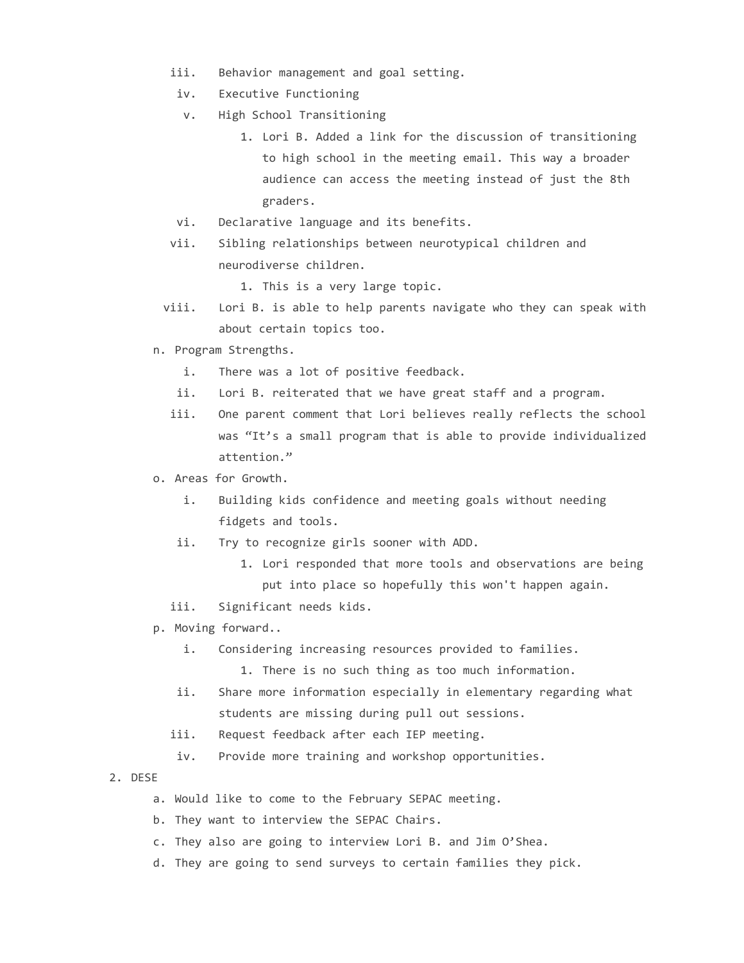- iii. Behavior management and goal setting.
- iv. Executive Functioning
- v. High School Transitioning
	- 1. Lori B. Added a link for the discussion of transitioning to high school in the meeting email. This way a broader audience can access the meeting instead of just the 8th graders.
- vi. Declarative language and its benefits.
- vii. Sibling relationships between neurotypical children and neurodiverse children.

1. This is a very large topic.

- viii. Lori B. is able to help parents navigate who they can speak with about certain topics too.
- n. Program Strengths.
	- i. There was a lot of positive feedback.
	- ii. Lori B. reiterated that we have great staff and a program.
	- iii. One parent comment that Lori believes really reflects the school was "It's a small program that is able to provide individualized attention."
- o. Areas for Growth.
	- i. Building kids confidence and meeting goals without needing fidgets and tools.
	- ii. Try to recognize girls sooner with ADD.
		- 1. Lori responded that more tools and observations are being put into place so hopefully this won't happen again.
	- iii. Significant needs kids.
- p. Moving forward..
	- i. Considering increasing resources provided to families.
		- 1. There is no such thing as too much information.
	- ii. Share more information especially in elementary regarding what students are missing during pull out sessions.
	- iii. Request feedback after each IEP meeting.
	- iv. Provide more training and workshop opportunities.
- 2. DESE
	- a. Would like to come to the February SEPAC meeting.
	- b. They want to interview the SEPAC Chairs.
	- c. They also are going to interview Lori B. and Jim O'Shea.
	- d. They are going to send surveys to certain families they pick.